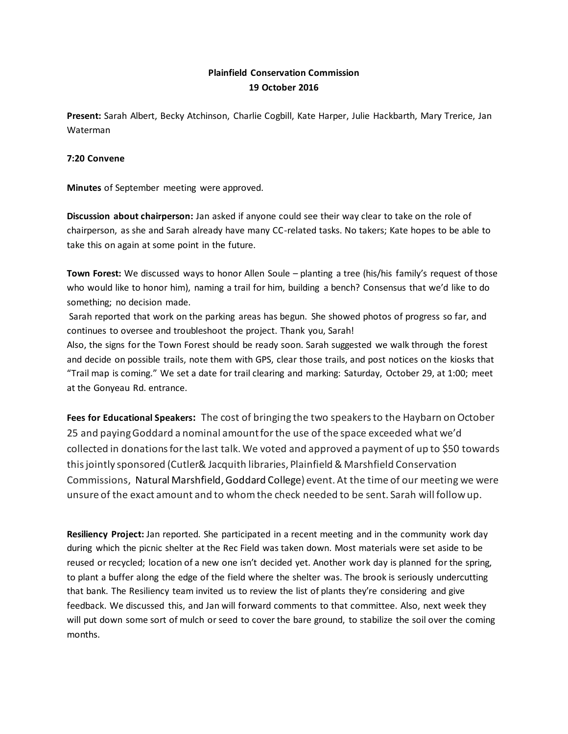## **Plainfield Conservation Commission 19 October 2016**

**Present:** Sarah Albert, Becky Atchinson, Charlie Cogbill, Kate Harper, Julie Hackbarth, Mary Trerice, Jan Waterman

## **7:20 Convene**

**Minutes** of September meeting were approved.

**Discussion about chairperson:** Jan asked if anyone could see their way clear to take on the role of chairperson, as she and Sarah already have many CC-related tasks. No takers; Kate hopes to be able to take this on again at some point in the future.

**Town Forest:** We discussed ways to honor Allen Soule – planting a tree (his/his family's request of those who would like to honor him), naming a trail for him, building a bench? Consensus that we'd like to do something; no decision made.

Sarah reported that work on the parking areas has begun. She showed photos of progress so far, and continues to oversee and troubleshoot the project. Thank you, Sarah!

Also, the signs for the Town Forest should be ready soon. Sarah suggested we walk through the forest and decide on possible trails, note them with GPS, clear those trails, and post notices on the kiosks that "Trail map is coming." We set a date for trail clearing and marking: Saturday, October 29, at 1:00; meet at the Gonyeau Rd. entrance.

**Fees for Educational Speakers:** The cost of bringing the two speakers to the Haybarn on October 25 and paying Goddard a nominal amount for the use of the space exceeded what we'd collected in donations for the last talk. We voted and approved a payment of up to \$50 towards this jointly sponsored (Cutler& Jacquith libraries, Plainfield & Marshfield Conservation Commissions, Natural Marshfield,Goddard College) event. At the time of our meeting we were unsure of the exact amount and to whom the check needed to be sent. Sarah will follow up.

**Resiliency Project:** Jan reported. She participated in a recent meeting and in the community work day during which the picnic shelter at the Rec Field was taken down. Most materials were set aside to be reused or recycled; location of a new one isn't decided yet. Another work day is planned for the spring, to plant a buffer along the edge of the field where the shelter was. The brook is seriously undercutting that bank. The Resiliency team invited us to review the list of plants they're considering and give feedback. We discussed this, and Jan will forward comments to that committee. Also, next week they will put down some sort of mulch or seed to cover the bare ground, to stabilize the soil over the coming months.